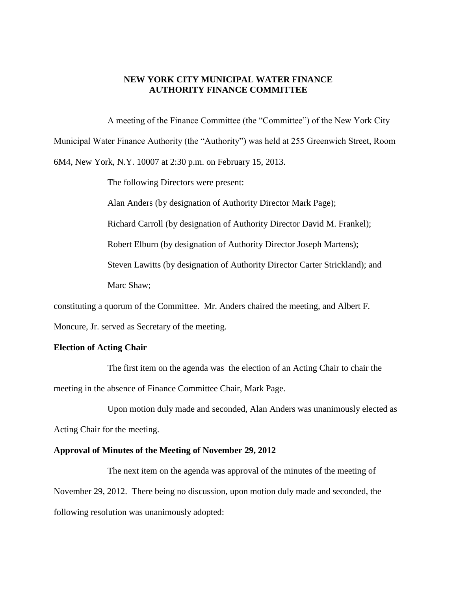#### **NEW YORK CITY MUNICIPAL WATER FINANCE AUTHORITY FINANCE COMMITTEE**

A meeting of the Finance Committee (the "Committee") of the New York City Municipal Water Finance Authority (the "Authority") was held at 255 Greenwich Street, Room 6M4, New York, N.Y. 10007 at 2:30 p.m. on February 15, 2013.

The following Directors were present:

Alan Anders (by designation of Authority Director Mark Page);

Richard Carroll (by designation of Authority Director David M. Frankel);

Robert Elburn (by designation of Authority Director Joseph Martens);

Steven Lawitts (by designation of Authority Director Carter Strickland); and

Marc Shaw;

constituting a quorum of the Committee. Mr. Anders chaired the meeting, and Albert F.

Moncure, Jr. served as Secretary of the meeting.

#### **Election of Acting Chair**

The first item on the agenda was the election of an Acting Chair to chair the meeting in the absence of Finance Committee Chair, Mark Page.

Upon motion duly made and seconded, Alan Anders was unanimously elected as Acting Chair for the meeting.

#### **Approval of Minutes of the Meeting of November 29, 2012**

The next item on the agenda was approval of the minutes of the meeting of November 29, 2012. There being no discussion, upon motion duly made and seconded, the following resolution was unanimously adopted: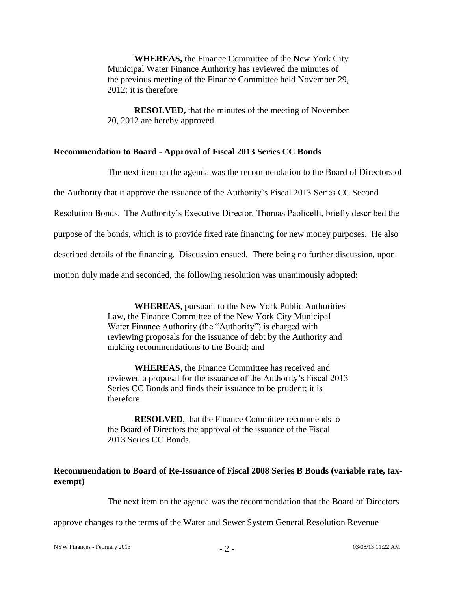**WHEREAS,** the Finance Committee of the New York City Municipal Water Finance Authority has reviewed the minutes of the previous meeting of the Finance Committee held November 29, 2012; it is therefore

**RESOLVED,** that the minutes of the meeting of November 20, 2012 are hereby approved.

# **Recommendation to Board - Approval of Fiscal 2013 Series CC Bonds**

The next item on the agenda was the recommendation to the Board of Directors of

the Authority that it approve the issuance of the Authority's Fiscal 2013 Series CC Second

Resolution Bonds. The Authority's Executive Director, Thomas Paolicelli, briefly described the

purpose of the bonds, which is to provide fixed rate financing for new money purposes. He also

described details of the financing. Discussion ensued. There being no further discussion, upon

motion duly made and seconded, the following resolution was unanimously adopted:

**WHEREAS**, pursuant to the New York Public Authorities Law, the Finance Committee of the New York City Municipal Water Finance Authority (the "Authority") is charged with reviewing proposals for the issuance of debt by the Authority and making recommendations to the Board; and

**WHEREAS,** the Finance Committee has received and reviewed a proposal for the issuance of the Authority's Fiscal 2013 Series CC Bonds and finds their issuance to be prudent; it is therefore

**RESOLVED**, that the Finance Committee recommends to the Board of Directors the approval of the issuance of the Fiscal 2013 Series CC Bonds.

# **Recommendation to Board of Re-Issuance of Fiscal 2008 Series B Bonds (variable rate, taxexempt)**

The next item on the agenda was the recommendation that the Board of Directors

approve changes to the terms of the Water and Sewer System General Resolution Revenue